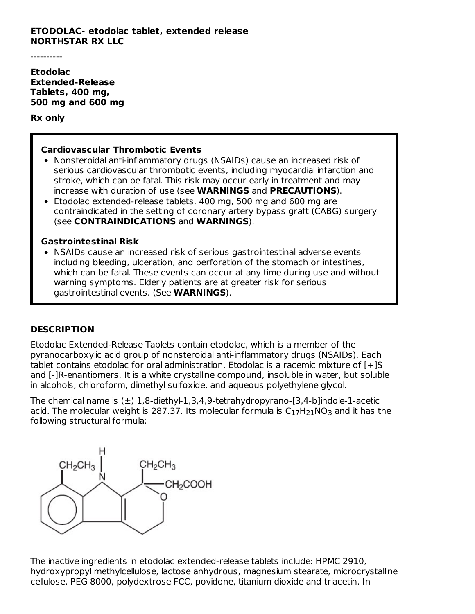----------

**Etodolac Extended-Release Tablets, 400 mg, 500 mg and 600 mg**

#### **Rx only**

#### **Cardiovascular Thrombotic Events**

- Nonsteroidal anti-inflammatory drugs (NSAIDs) cause an increased risk of serious cardiovascular thrombotic events, including myocardial infarction and stroke, which can be fatal. This risk may occur early in treatment and may increase with duration of use (see **WARNINGS** and **PRECAUTIONS**).
- Etodolac extended-release tablets, 400 mg, 500 mg and 600 mg are contraindicated in the setting of coronary artery bypass graft (CABG) surgery (see **CONTRAINDICATIONS** and **WARNINGS**).

#### **Gastrointestinal Risk**

• NSAIDs cause an increased risk of serious gastrointestinal adverse events including bleeding, ulceration, and perforation of the stomach or intestines, which can be fatal. These events can occur at any time during use and without warning symptoms. Elderly patients are at greater risk for serious gastrointestinal events. (See **WARNINGS**).

## **DESCRIPTION**

Etodolac Extended-Release Tablets contain etodolac, which is a member of the pyranocarboxylic acid group of nonsteroidal anti-inflammatory drugs (NSAIDs). Each tablet contains etodolac for oral administration. Etodolac is a racemic mixture of [+]S and [-]R-enantiomers. It is a white crystalline compound, insoluble in water, but soluble in alcohols, chloroform, dimethyl sulfoxide, and aqueous polyethylene glycol.

The chemical name is  $(\pm)$  1,8-diethyl-1,3,4,9-tetrahydropyrano-[3,4-b]indole-1-acetic acid. The molecular weight is 287.37. Its molecular formula is  $\mathsf{C}_{17}\mathsf{H}_{21}\mathsf{NO}_3$  and it has the following structural formula:



The inactive ingredients in etodolac extended-release tablets include: HPMC 2910, hydroxypropyl methylcellulose, lactose anhydrous, magnesium stearate, microcrystalline cellulose, PEG 8000, polydextrose FCC, povidone, titanium dioxide and triacetin. In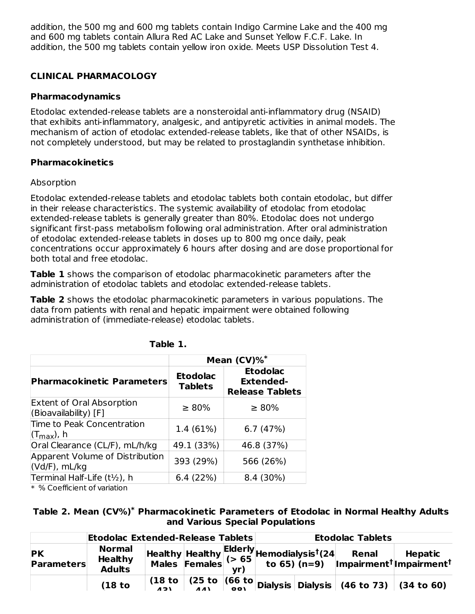addition, the 500 mg and 600 mg tablets contain Indigo Carmine Lake and the 400 mg and 600 mg tablets contain Allura Red AC Lake and Sunset Yellow F.C.F. Lake. In addition, the 500 mg tablets contain yellow iron oxide. Meets USP Dissolution Test 4.

## **CLINICAL PHARMACOLOGY**

#### **Pharmacodynamics**

Etodolac extended-release tablets are a nonsteroidal anti-inflammatory drug (NSAID) that exhibits anti-inflammatory, analgesic, and antipyretic activities in animal models. The mechanism of action of etodolac extended-release tablets, like that of other NSAIDs, is not completely understood, but may be related to prostaglandin synthetase inhibition.

## **Pharmacokinetics**

#### Absorption

Etodolac extended-release tablets and etodolac tablets both contain etodolac, but differ in their release characteristics. The systemic availability of etodolac from etodolac extended-release tablets is generally greater than 80%. Etodolac does not undergo significant first-pass metabolism following oral administration. After oral administration of etodolac extended-release tablets in doses up to 800 mg once daily, peak concentrations occur approximately 6 hours after dosing and are dose proportional for both total and free etodolac.

**Table 1** shows the comparison of etodolac pharmacokinetic parameters after the administration of etodolac tablets and etodolac extended-release tablets.

**Table 2** shows the etodolac pharmacokinetic parameters in various populations. The data from patients with renal and hepatic impairment were obtained following administration of (immediate-release) etodolac tablets.

|                                                            | Mean (CV)%*                       |                                                               |  |  |
|------------------------------------------------------------|-----------------------------------|---------------------------------------------------------------|--|--|
| <b>Pharmacokinetic Parameters</b>                          | <b>Etodolac</b><br><b>Tablets</b> | <b>Etodolac</b><br><b>Extended-</b><br><b>Release Tablets</b> |  |  |
| <b>Extent of Oral Absorption</b><br>$(Biowailability)$ [F] | $\geq 80\%$                       | $\geq 80\%$                                                   |  |  |
| Time to Peak Concentration<br>$(T_{\text{max}})$ , h       | 1.4(61%)                          | 6.7(47%)                                                      |  |  |
| Oral Clearance (CL/F), mL/h/kg                             | 49.1 (33%)                        | 46.8 (37%)                                                    |  |  |
| Apparent Volume of Distribution<br>(Vd/F), mL/kg           | 393 (29%)                         | 566 (26%)                                                     |  |  |
| Terminal Half-Life (t1/2), h                               | 6.4(22%)                          | 8.4 (30%)                                                     |  |  |

\* % Coefficient of variation

| Table 2. Mean (CV%)* Pharmacokinetic Parameters of Etodolac in Normal Healthy Adults |                                 |  |  |
|--------------------------------------------------------------------------------------|---------------------------------|--|--|
|                                                                                      | and Various Special Populations |  |  |

|                                | Etodolac Extended-Release Tablets                |  |  | <b>Etodolac Tablets</b> |                                                                                                                                                                                                            |
|--------------------------------|--------------------------------------------------|--|--|-------------------------|------------------------------------------------------------------------------------------------------------------------------------------------------------------------------------------------------------|
| <b>PK</b><br><b>Parameters</b> | <b>Normal</b><br><b>Healthy</b><br><b>Adults</b> |  |  |                         | Healthy Healthy Elderly Hemodialysis <sup>t</sup> (24 Renal Hepatic Males Females (> 65 to 65) (n=9) Impairment <sup>t</sup> Males                                                                         |
|                                | (18 <sub>to</sub>                                |  |  |                         | $\left  \begin{array}{c c c} (18 \; \mathrm{to} & (25 \; \mathrm{to} & (66 \; \mathrm{to} & \text{Dialysis} & \text{Dialysis} & (46 \; \mathrm{to} \; 73) & (34 \; \mathrm{to} \; 60) \end{array} \right $ |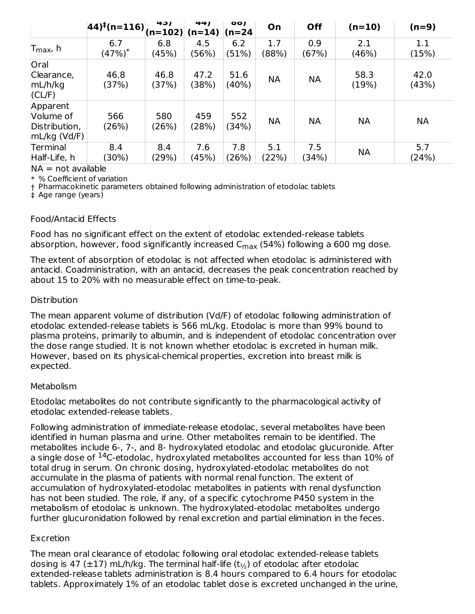|                                                        | $ 44)^{\ddagger}$ (n=116)<br>(n=102) (n=14) |               |               | 00 J<br>$(n=24)$ | On           | <b>Off</b>   | $(n=10)$      | $(n=9)$       |
|--------------------------------------------------------|---------------------------------------------|---------------|---------------|------------------|--------------|--------------|---------------|---------------|
| $\mathsf{T}_{\mathsf{max}}$ , h                        | 6.7<br>$(47%)^*$                            | 6.8<br>(45%)  | 4.5<br>(56%)  | 6.2<br>(51%)     | 1.7<br>(88%) | 0.9<br>(67%) | 2.1<br>(46%)  | 1.1<br>(15%)  |
| Oral<br>Clearance,<br>mL/h/kg<br>(CL/F)                | 46.8<br>(37%)                               | 46.8<br>(37%) | 47.2<br>(38%) | 51.6<br>(40%)    | <b>NA</b>    | <b>NA</b>    | 58.3<br>(19%) | 42.0<br>(43%) |
| Apparent<br>Volume of<br>Distribution,<br>mL/kg (Vd/F) | 566<br>(26%)                                | 580<br>(26%)  | 459<br>(28%)  | 552<br>(34%)     | <b>NA</b>    | <b>NA</b>    | <b>NA</b>     | <b>NA</b>     |
| Terminal<br>Half-Life, h                               | 8.4<br>(30%)                                | 8.4<br>(29%)  | 7.6<br>(45%)  | 7.8<br>(26%)     | 5.1<br>(22%) | 7.5<br>(34%) | <b>NA</b>     | 5.7<br>(24%)  |

#### $NA = not available$

\* % Coefficient of variation

† Pharmacokinetic parameters obtained following administration of etodolac tablets

‡ Age range (years)

#### Food/Antacid Effects

Food has no significant effect on the extent of etodolac extended-release tablets absorption, however, food significantly increased  $\mathsf{C}_{\mathsf{max}}$  (54%) following a 600 mg dose.

The extent of absorption of etodolac is not affected when etodolac is administered with antacid. Coadministration, with an antacid, decreases the peak concentration reached by about 15 to 20% with no measurable effect on time-to-peak.

#### **Distribution**

The mean apparent volume of distribution (Vd/F) of etodolac following administration of etodolac extended-release tablets is 566 mL/kg. Etodolac is more than 99% bound to plasma proteins, primarily to albumin, and is independent of etodolac concentration over the dose range studied. It is not known whether etodolac is excreted in human milk. However, based on its physical-chemical properties, excretion into breast milk is expected.

#### Metabolism

Etodolac metabolites do not contribute significantly to the pharmacological activity of etodolac extended-release tablets.

Following administration of immediate-release etodolac, several metabolites have been identified in human plasma and urine. Other metabolites remain to be identified. The metabolites include 6-, 7-, and 8- hydroxylated etodolac and etodolac glucuronide. After a single dose of  $^{14}$ C-etodolac, hydroxylated metabolites accounted for less than 10% of total drug in serum. On chronic dosing, hydroxylated-etodolac metabolites do not accumulate in the plasma of patients with normal renal function. The extent of accumulation of hydroxylated-etodolac metabolites in patients with renal dysfunction has not been studied. The role, if any, of a specific cytochrome P450 system in the metabolism of etodolac is unknown. The hydroxylated-etodolac metabolites undergo further glucuronidation followed by renal excretion and partial elimination in the feces.

## Excretion

The mean oral clearance of etodolac following oral etodolac extended-release tablets dosing is 47 ( $\pm 17$ ) mL/h/kg. The terminal half-life (t $_{1/2}$ ) of etodolac after etodolac extended-release tablets administration is 8.4 hours compared to 6.4 hours for etodolac tablets. Approximately 1% of an etodolac tablet dose is excreted unchanged in the urine,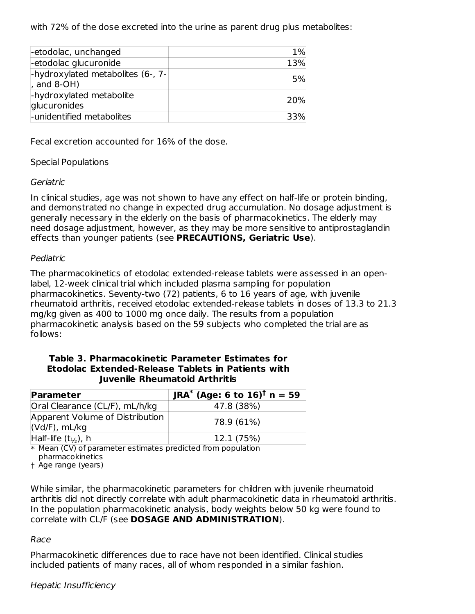with 72% of the dose excreted into the urine as parent drug plus metabolites:

| -etodolac, unchanged                                  | 1%  |
|-------------------------------------------------------|-----|
| -etodolac glucuronide                                 | 13% |
| -hydroxylated metabolites $(6-7-1)$<br>, and $8-OH$ ) | 5%  |
| -hydroxylated metabolite<br>glucuronides              | 20% |
| -unidentified metabolites                             | 33% |

Fecal excretion accounted for 16% of the dose.

Special Populations

#### Geriatric

In clinical studies, age was not shown to have any effect on half-life or protein binding, and demonstrated no change in expected drug accumulation. No dosage adjustment is generally necessary in the elderly on the basis of pharmacokinetics. The elderly may need dosage adjustment, however, as they may be more sensitive to antiprostaglandin effects than younger patients (see **PRECAUTIONS, Geriatric Use**).

#### Pediatric

The pharmacokinetics of etodolac extended-release tablets were assessed in an openlabel, 12-week clinical trial which included plasma sampling for population pharmacokinetics. Seventy-two (72) patients, 6 to 16 years of age, with juvenile rheumatoid arthritis, received etodolac extended-release tablets in doses of 13.3 to 21.3 mg/kg given as 400 to 1000 mg once daily. The results from a population pharmacokinetic analysis based on the 59 subjects who completed the trial are as follows:

#### **Table 3. Pharmacokinetic Parameter Estimates for Etodolac Extended-Release Tablets in Patients with Juvenile Rheumatoid Arthritis**

| Parameter                                        | JRA <sup>*</sup> (Age: 6 to 16) <sup>†</sup> n = 59 |
|--------------------------------------------------|-----------------------------------------------------|
| Oral Clearance (CL/F), mL/h/kg                   | 47.8 (38%)                                          |
| Apparent Volume of Distribution<br>(Vd/F), mL/kg | 78.9 (61%)                                          |
| Half-life $(t_{1/2})$ , h                        | 12.1 (75%)                                          |

\* Mean (CV) of parameter estimates predicted from population pharmacokinetics

† Age range (years)

While similar, the pharmacokinetic parameters for children with juvenile rheumatoid arthritis did not directly correlate with adult pharmacokinetic data in rheumatoid arthritis. In the population pharmacokinetic analysis, body weights below 50 kg were found to correlate with CL/F (see **DOSAGE AND ADMINISTRATION**).

#### Race

Pharmacokinetic differences due to race have not been identified. Clinical studies included patients of many races, all of whom responded in a similar fashion.

#### Hepatic Insufficiency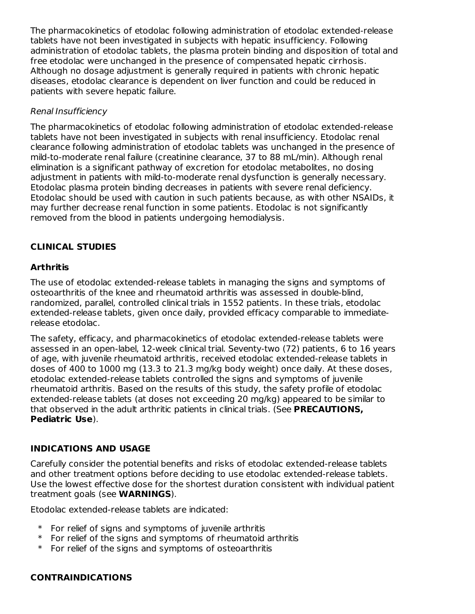The pharmacokinetics of etodolac following administration of etodolac extended-release tablets have not been investigated in subjects with hepatic insufficiency. Following administration of etodolac tablets, the plasma protein binding and disposition of total and free etodolac were unchanged in the presence of compensated hepatic cirrhosis. Although no dosage adjustment is generally required in patients with chronic hepatic diseases, etodolac clearance is dependent on liver function and could be reduced in patients with severe hepatic failure.

## Renal Insufficiency

The pharmacokinetics of etodolac following administration of etodolac extended-release tablets have not been investigated in subjects with renal insufficiency. Etodolac renal clearance following administration of etodolac tablets was unchanged in the presence of mild-to-moderate renal failure (creatinine clearance, 37 to 88 mL/min). Although renal elimination is a significant pathway of excretion for etodolac metabolites, no dosing adjustment in patients with mild-to-moderate renal dysfunction is generally necessary. Etodolac plasma protein binding decreases in patients with severe renal deficiency. Etodolac should be used with caution in such patients because, as with other NSAIDs, it may further decrease renal function in some patients. Etodolac is not significantly removed from the blood in patients undergoing hemodialysis.

# **CLINICAL STUDIES**

## **Arthritis**

The use of etodolac extended-release tablets in managing the signs and symptoms of osteoarthritis of the knee and rheumatoid arthritis was assessed in double-blind, randomized, parallel, controlled clinical trials in 1552 patients. In these trials, etodolac extended-release tablets, given once daily, provided efficacy comparable to immediaterelease etodolac.

The safety, efficacy, and pharmacokinetics of etodolac extended-release tablets were assessed in an open-label, 12-week clinical trial. Seventy-two (72) patients, 6 to 16 years of age, with juvenile rheumatoid arthritis, received etodolac extended-release tablets in doses of 400 to 1000 mg (13.3 to 21.3 mg/kg body weight) once daily. At these doses, etodolac extended-release tablets controlled the signs and symptoms of juvenile rheumatoid arthritis. Based on the results of this study, the safety profile of etodolac extended-release tablets (at doses not exceeding 20 mg/kg) appeared to be similar to that observed in the adult arthritic patients in clinical trials. (See **PRECAUTIONS, Pediatric Use**).

## **INDICATIONS AND USAGE**

Carefully consider the potential benefits and risks of etodolac extended-release tablets and other treatment options before deciding to use etodolac extended-release tablets. Use the lowest effective dose for the shortest duration consistent with individual patient treatment goals (see **WARNINGS**).

Etodolac extended-release tablets are indicated:

- \* For relief of signs and symptoms of juvenile arthritis
- \* For relief of the signs and symptoms of rheumatoid arthritis
- $\hspace{0.1mm}^*$  For relief of the signs and symptoms of osteoarthritis

#### **CONTRAINDICATIONS**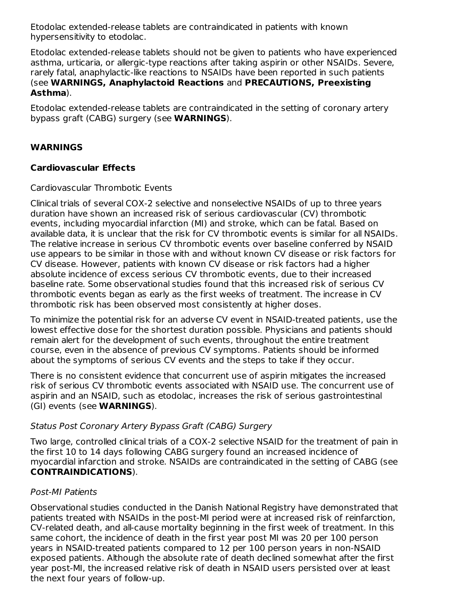Etodolac extended-release tablets are contraindicated in patients with known hypersensitivity to etodolac.

Etodolac extended-release tablets should not be given to patients who have experienced asthma, urticaria, or allergic-type reactions after taking aspirin or other NSAIDs. Severe, rarely fatal, anaphylactic-like reactions to NSAIDs have been reported in such patients (see **WARNINGS, Anaphylactoid Reactions** and **PRECAUTIONS, Preexisting Asthma**).

Etodolac extended-release tablets are contraindicated in the setting of coronary artery bypass graft (CABG) surgery (see **WARNINGS**).

# **WARNINGS**

## **Cardiovascular Effects**

#### Cardiovascular Thrombotic Events

Clinical trials of several COX-2 selective and nonselective NSAIDs of up to three years duration have shown an increased risk of serious cardiovascular (CV) thrombotic events, including myocardial infarction (MI) and stroke, which can be fatal. Based on available data, it is unclear that the risk for CV thrombotic events is similar for all NSAIDs. The relative increase in serious CV thrombotic events over baseline conferred by NSAID use appears to be similar in those with and without known CV disease or risk factors for CV disease. However, patients with known CV disease or risk factors had a higher absolute incidence of excess serious CV thrombotic events, due to their increased baseline rate. Some observational studies found that this increased risk of serious CV thrombotic events began as early as the first weeks of treatment. The increase in CV thrombotic risk has been observed most consistently at higher doses.

To minimize the potential risk for an adverse CV event in NSAID-treated patients, use the lowest effective dose for the shortest duration possible. Physicians and patients should remain alert for the development of such events, throughout the entire treatment course, even in the absence of previous CV symptoms. Patients should be informed about the symptoms of serious CV events and the steps to take if they occur.

There is no consistent evidence that concurrent use of aspirin mitigates the increased risk of serious CV thrombotic events associated with NSAID use. The concurrent use of aspirin and an NSAID, such as etodolac, increases the risk of serious gastrointestinal (GI) events (see **WARNINGS**).

## Status Post Coronary Artery Bypass Graft (CABG) Surgery

Two large, controlled clinical trials of a COX-2 selective NSAID for the treatment of pain in the first 10 to 14 days following CABG surgery found an increased incidence of myocardial infarction and stroke. NSAIDs are contraindicated in the setting of CABG (see **CONTRAINDICATIONS**).

## Post-MI Patients

Observational studies conducted in the Danish National Registry have demonstrated that patients treated with NSAIDs in the post-MI period were at increased risk of reinfarction, CV-related death, and all-cause mortality beginning in the first week of treatment. In this same cohort, the incidence of death in the first year post MI was 20 per 100 person years in NSAID-treated patients compared to 12 per 100 person years in non-NSAID exposed patients. Although the absolute rate of death declined somewhat after the first year post-MI, the increased relative risk of death in NSAID users persisted over at least the next four years of follow-up.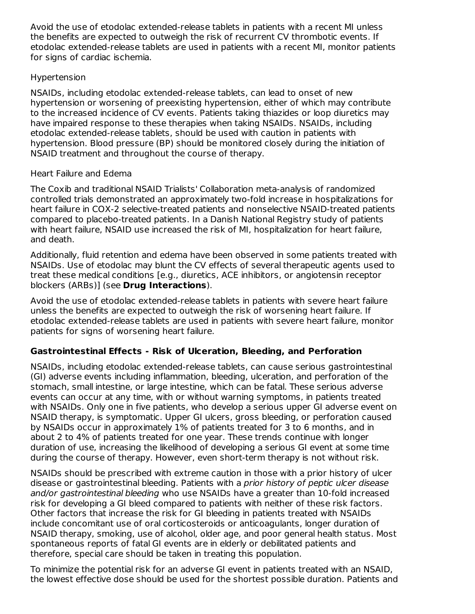Avoid the use of etodolac extended-release tablets in patients with a recent MI unless the benefits are expected to outweigh the risk of recurrent CV thrombotic events. If etodolac extended-release tablets are used in patients with a recent MI, monitor patients for signs of cardiac ischemia.

### Hypertension

NSAIDs, including etodolac extended-release tablets, can lead to onset of new hypertension or worsening of preexisting hypertension, either of which may contribute to the increased incidence of CV events. Patients taking thiazides or loop diuretics may have impaired response to these therapies when taking NSAIDs. NSAIDs, including etodolac extended-release tablets, should be used with caution in patients with hypertension. Blood pressure (BP) should be monitored closely during the initiation of NSAID treatment and throughout the course of therapy.

#### Heart Failure and Edema

The Coxib and traditional NSAID Trialists' Collaboration meta-analysis of randomized controlled trials demonstrated an approximately two-fold increase in hospitalizations for heart failure in COX-2 selective-treated patients and nonselective NSAID-treated patients compared to placebo-treated patients. In a Danish National Registry study of patients with heart failure, NSAID use increased the risk of MI, hospitalization for heart failure, and death.

Additionally, fluid retention and edema have been observed in some patients treated with NSAIDs. Use of etodolac may blunt the CV effects of several therapeutic agents used to treat these medical conditions [e.g., diuretics, ACE inhibitors, or angiotensin receptor blockers (ARBs)] (see **Drug Interactions**).

Avoid the use of etodolac extended-release tablets in patients with severe heart failure unless the benefits are expected to outweigh the risk of worsening heart failure. If etodolac extended-release tablets are used in patients with severe heart failure, monitor patients for signs of worsening heart failure.

## **Gastrointestinal Effects - Risk of Ulceration, Bleeding, and Perforation**

NSAIDs, including etodolac extended-release tablets, can cause serious gastrointestinal (GI) adverse events including inflammation, bleeding, ulceration, and perforation of the stomach, small intestine, or large intestine, which can be fatal. These serious adverse events can occur at any time, with or without warning symptoms, in patients treated with NSAIDs. Only one in five patients, who develop a serious upper GI adverse event on NSAID therapy, is symptomatic. Upper GI ulcers, gross bleeding, or perforation caused by NSAIDs occur in approximately 1% of patients treated for 3 to 6 months, and in about 2 to 4% of patients treated for one year. These trends continue with longer duration of use, increasing the likelihood of developing a serious GI event at some time during the course of therapy. However, even short-term therapy is not without risk.

NSAIDs should be prescribed with extreme caution in those with a prior history of ulcer disease or gastrointestinal bleeding. Patients with a *prior history of peptic ulcer disease* and/or gastrointestinal bleeding who use NSAIDs have a greater than 10-fold increased risk for developing a GI bleed compared to patients with neither of these risk factors. Other factors that increase the risk for GI bleeding in patients treated with NSAIDs include concomitant use of oral corticosteroids or anticoagulants, longer duration of NSAID therapy, smoking, use of alcohol, older age, and poor general health status. Most spontaneous reports of fatal GI events are in elderly or debilitated patients and therefore, special care should be taken in treating this population.

To minimize the potential risk for an adverse GI event in patients treated with an NSAID, the lowest effective dose should be used for the shortest possible duration. Patients and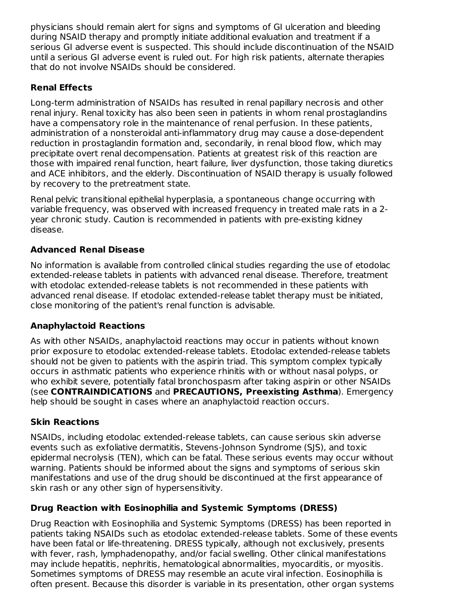physicians should remain alert for signs and symptoms of GI ulceration and bleeding during NSAID therapy and promptly initiate additional evaluation and treatment if a serious GI adverse event is suspected. This should include discontinuation of the NSAID until a serious GI adverse event is ruled out. For high risk patients, alternate therapies that do not involve NSAIDs should be considered.

# **Renal Effects**

Long-term administration of NSAIDs has resulted in renal papillary necrosis and other renal injury. Renal toxicity has also been seen in patients in whom renal prostaglandins have a compensatory role in the maintenance of renal perfusion. In these patients, administration of a nonsteroidal anti-inflammatory drug may cause a dose-dependent reduction in prostaglandin formation and, secondarily, in renal blood flow, which may precipitate overt renal decompensation. Patients at greatest risk of this reaction are those with impaired renal function, heart failure, liver dysfunction, those taking diuretics and ACE inhibitors, and the elderly. Discontinuation of NSAID therapy is usually followed by recovery to the pretreatment state.

Renal pelvic transitional epithelial hyperplasia, a spontaneous change occurring with variable frequency, was observed with increased frequency in treated male rats in a 2 year chronic study. Caution is recommended in patients with pre-existing kidney disease.

# **Advanced Renal Disease**

No information is available from controlled clinical studies regarding the use of etodolac extended-release tablets in patients with advanced renal disease. Therefore, treatment with etodolac extended-release tablets is not recommended in these patients with advanced renal disease. If etodolac extended-release tablet therapy must be initiated, close monitoring of the patient's renal function is advisable.

# **Anaphylactoid Reactions**

As with other NSAIDs, anaphylactoid reactions may occur in patients without known prior exposure to etodolac extended-release tablets. Etodolac extended-release tablets should not be given to patients with the aspirin triad. This symptom complex typically occurs in asthmatic patients who experience rhinitis with or without nasal polyps, or who exhibit severe, potentially fatal bronchospasm after taking aspirin or other NSAIDs (see **CONTRAINDICATIONS** and **PRECAUTIONS, Preexisting Asthma**). Emergency help should be sought in cases where an anaphylactoid reaction occurs.

# **Skin Reactions**

NSAIDs, including etodolac extended-release tablets, can cause serious skin adverse events such as exfoliative dermatitis, Stevens-Johnson Syndrome (SJS), and toxic epidermal necrolysis (TEN), which can be fatal. These serious events may occur without warning. Patients should be informed about the signs and symptoms of serious skin manifestations and use of the drug should be discontinued at the first appearance of skin rash or any other sign of hypersensitivity.

# **Drug Reaction with Eosinophilia and Systemic Symptoms (DRESS)**

Drug Reaction with Eosinophilia and Systemic Symptoms (DRESS) has been reported in patients taking NSAIDs such as etodolac extended-release tablets. Some of these events have been fatal or life-threatening. DRESS typically, although not exclusively, presents with fever, rash, lymphadenopathy, and/or facial swelling. Other clinical manifestations may include hepatitis, nephritis, hematological abnormalities, myocarditis, or myositis. Sometimes symptoms of DRESS may resemble an acute viral infection. Eosinophilia is often present. Because this disorder is variable in its presentation, other organ systems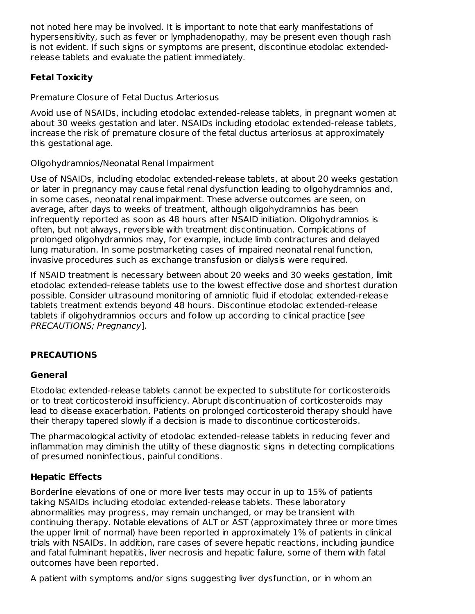not noted here may be involved. It is important to note that early manifestations of hypersensitivity, such as fever or lymphadenopathy, may be present even though rash is not evident. If such signs or symptoms are present, discontinue etodolac extendedrelease tablets and evaluate the patient immediately.

# **Fetal Toxicity**

Premature Closure of Fetal Ductus Arteriosus

Avoid use of NSAIDs, including etodolac extended-release tablets, in pregnant women at about 30 weeks gestation and later. NSAIDs including etodolac extended-release tablets, increase the risk of premature closure of the fetal ductus arteriosus at approximately this gestational age.

## Oligohydramnios/Neonatal Renal Impairment

Use of NSAIDs, including etodolac extended-release tablets, at about 20 weeks gestation or later in pregnancy may cause fetal renal dysfunction leading to oligohydramnios and, in some cases, neonatal renal impairment. These adverse outcomes are seen, on average, after days to weeks of treatment, although oligohydramnios has been infrequently reported as soon as 48 hours after NSAID initiation. Oligohydramnios is often, but not always, reversible with treatment discontinuation. Complications of prolonged oligohydramnios may, for example, include limb contractures and delayed lung maturation. In some postmarketing cases of impaired neonatal renal function, invasive procedures such as exchange transfusion or dialysis were required.

If NSAID treatment is necessary between about 20 weeks and 30 weeks gestation, limit etodolac extended-release tablets use to the lowest effective dose and shortest duration possible. Consider ultrasound monitoring of amniotic fluid if etodolac extended-release tablets treatment extends beyond 48 hours. Discontinue etodolac extended-release tablets if oligohydramnios occurs and follow up according to clinical practice [see PRECAUTIONS; Pregnancy].

# **PRECAUTIONS**

## **General**

Etodolac extended-release tablets cannot be expected to substitute for corticosteroids or to treat corticosteroid insufficiency. Abrupt discontinuation of corticosteroids may lead to disease exacerbation. Patients on prolonged corticosteroid therapy should have their therapy tapered slowly if a decision is made to discontinue corticosteroids.

The pharmacological activity of etodolac extended-release tablets in reducing fever and inflammation may diminish the utility of these diagnostic signs in detecting complications of presumed noninfectious, painful conditions.

# **Hepatic Effects**

Borderline elevations of one or more liver tests may occur in up to 15% of patients taking NSAIDs including etodolac extended-release tablets. These laboratory abnormalities may progress, may remain unchanged, or may be transient with continuing therapy. Notable elevations of ALT or AST (approximately three or more times the upper limit of normal) have been reported in approximately 1% of patients in clinical trials with NSAIDs. In addition, rare cases of severe hepatic reactions, including jaundice and fatal fulminant hepatitis, liver necrosis and hepatic failure, some of them with fatal outcomes have been reported.

A patient with symptoms and/or signs suggesting liver dysfunction, or in whom an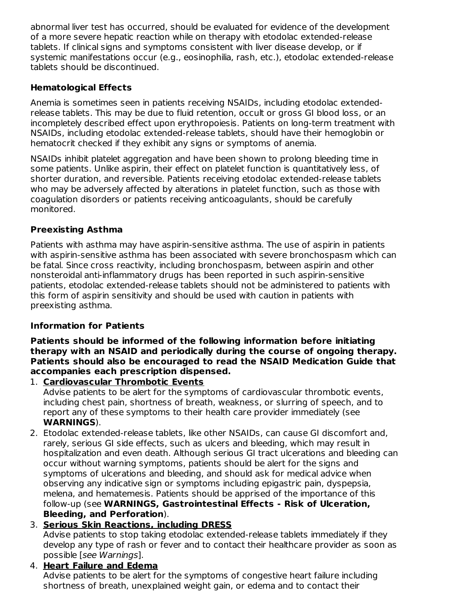abnormal liver test has occurred, should be evaluated for evidence of the development of a more severe hepatic reaction while on therapy with etodolac extended-release tablets. If clinical signs and symptoms consistent with liver disease develop, or if systemic manifestations occur (e.g., eosinophilia, rash, etc.), etodolac extended-release tablets should be discontinued.

# **Hematological Effects**

Anemia is sometimes seen in patients receiving NSAIDs, including etodolac extendedrelease tablets. This may be due to fluid retention, occult or gross GI blood loss, or an incompletely described effect upon erythropoiesis. Patients on long-term treatment with NSAIDs, including etodolac extended-release tablets, should have their hemoglobin or hematocrit checked if they exhibit any signs or symptoms of anemia.

NSAIDs inhibit platelet aggregation and have been shown to prolong bleeding time in some patients. Unlike aspirin, their effect on platelet function is quantitatively less, of shorter duration, and reversible. Patients receiving etodolac extended-release tablets who may be adversely affected by alterations in platelet function, such as those with coagulation disorders or patients receiving anticoagulants, should be carefully monitored.

# **Preexisting Asthma**

Patients with asthma may have aspirin-sensitive asthma. The use of aspirin in patients with aspirin-sensitive asthma has been associated with severe bronchospasm which can be fatal. Since cross reactivity, including bronchospasm, between aspirin and other nonsteroidal anti-inflammatory drugs has been reported in such aspirin-sensitive patients, etodolac extended-release tablets should not be administered to patients with this form of aspirin sensitivity and should be used with caution in patients with preexisting asthma.

# **Information for Patients**

**Patients should be informed of the following information before initiating therapy with an NSAID and periodically during the course of ongoing therapy. Patients should also be encouraged to read the NSAID Medication Guide that accompanies each prescription dispensed.**

1. **Cardiovascular Thrombotic Events**

Advise patients to be alert for the symptoms of cardiovascular thrombotic events, including chest pain, shortness of breath, weakness, or slurring of speech, and to report any of these symptoms to their health care provider immediately (see **WARNINGS**).

2. Etodolac extended-release tablets, like other NSAIDs, can cause GI discomfort and, rarely, serious GI side effects, such as ulcers and bleeding, which may result in hospitalization and even death. Although serious GI tract ulcerations and bleeding can occur without warning symptoms, patients should be alert for the signs and symptoms of ulcerations and bleeding, and should ask for medical advice when observing any indicative sign or symptoms including epigastric pain, dyspepsia, melena, and hematemesis. Patients should be apprised of the importance of this follow-up (see **WARNINGS, Gastrointestinal Effects - Risk of Ulceration, Bleeding, and Perforation**).

# 3. **Serious Skin Reactions, including DRESS**

Advise patients to stop taking etodolac extended-release tablets immediately if they develop any type of rash or fever and to contact their healthcare provider as soon as possible [see Warnings].

# 4. **Heart Failure and Edema**

Advise patients to be alert for the symptoms of congestive heart failure including shortness of breath, unexplained weight gain, or edema and to contact their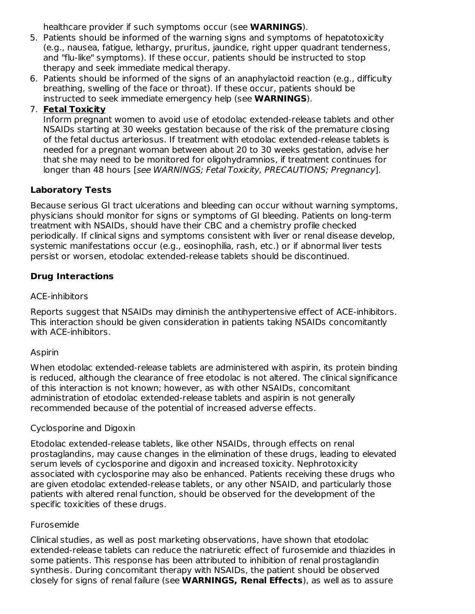healthcare provider if such symptoms occur (see **WARNINGS**).

- 5. Patients should be informed of the warning signs and symptoms of hepatotoxicity (e.g., nausea, fatigue, lethargy, pruritus, jaundice, right upper quadrant tenderness, and "flu-like" symptoms). If these occur, patients should be instructed to stop therapy and seek immediate medical therapy.
- 6. Patients should be informed of the signs of an anaphylactoid reaction (e.g., difficulty breathing, swelling of the face or throat). If these occur, patients should be instructed to seek immediate emergency help (see **WARNINGS**).

## 7. **Fetal Toxicity**

Inform pregnant women to avoid use of etodolac extended-release tablets and other NSAIDs starting at 30 weeks gestation because of the risk of the premature closing of the fetal ductus arteriosus. If treatment with etodolac extended-release tablets is needed for a pregnant woman between about 20 to 30 weeks gestation, advise her that she may need to be monitored for oligohydramnios, if treatment continues for longer than 48 hours [see WARNINGS; Fetal Toxicity, PRECAUTIONS; Pregnancy].

# **Laboratory Tests**

Because serious GI tract ulcerations and bleeding can occur without warning symptoms, physicians should monitor for signs or symptoms of GI bleeding. Patients on long-term treatment with NSAIDs, should have their CBC and a chemistry profile checked periodically. If clinical signs and symptoms consistent with liver or renal disease develop, systemic manifestations occur (e.g., eosinophilia, rash, etc.) or if abnormal liver tests persist or worsen, etodolac extended-release tablets should be discontinued.

## **Drug Interactions**

## ACE-inhibitors

Reports suggest that NSAIDs may diminish the antihypertensive effect of ACE-inhibitors. This interaction should be given consideration in patients taking NSAIDs concomitantly with ACE-inhibitors.

## Aspirin

When etodolac extended-release tablets are administered with aspirin, its protein binding is reduced, although the clearance of free etodolac is not altered. The clinical significance of this interaction is not known; however, as with other NSAIDs, concomitant administration of etodolac extended-release tablets and aspirin is not generally recommended because of the potential of increased adverse effects.

#### Cyclosporine and Digoxin

Etodolac extended-release tablets, like other NSAIDs, through effects on renal prostaglandins, may cause changes in the elimination of these drugs, leading to elevated serum levels of cyclosporine and digoxin and increased toxicity. Nephrotoxicity associated with cyclosporine may also be enhanced. Patients receiving these drugs who are given etodolac extended-release tablets, or any other NSAID, and particularly those patients with altered renal function, should be observed for the development of the specific toxicities of these drugs.

## Furosemide

Clinical studies, as well as post marketing observations, have shown that etodolac extended-release tablets can reduce the natriuretic effect of furosemide and thiazides in some patients. This response has been attributed to inhibition of renal prostaglandin synthesis. During concomitant therapy with NSAIDs, the patient should be observed closely for signs of renal failure (see **WARNINGS, Renal Effects**), as well as to assure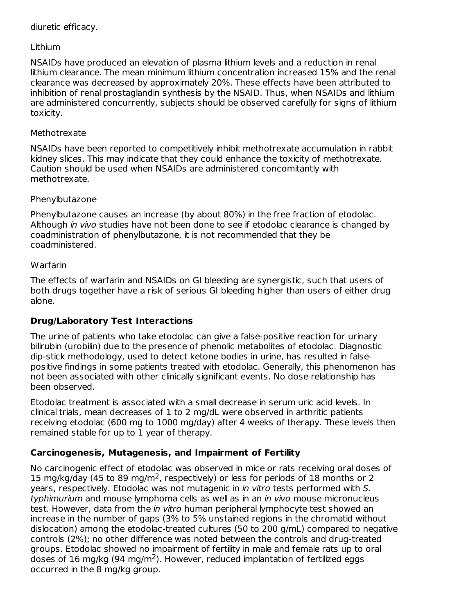### diuretic efficacy.

### Lithium

NSAIDs have produced an elevation of plasma lithium levels and a reduction in renal lithium clearance. The mean minimum lithium concentration increased 15% and the renal clearance was decreased by approximately 20%. These effects have been attributed to inhibition of renal prostaglandin synthesis by the NSAID. Thus, when NSAIDs and lithium are administered concurrently, subjects should be observed carefully for signs of lithium toxicity.

#### **Methotrexate**

NSAIDs have been reported to competitively inhibit methotrexate accumulation in rabbit kidney slices. This may indicate that they could enhance the toxicity of methotrexate. Caution should be used when NSAIDs are administered concomitantly with methotrexate.

#### Phenylbutazone

Phenylbutazone causes an increase (by about 80%) in the free fraction of etodolac. Although in vivo studies have not been done to see if etodolac clearance is changed by coadministration of phenylbutazone, it is not recommended that they be coadministered.

#### Warfarin

The effects of warfarin and NSAIDs on GI bleeding are synergistic, such that users of both drugs together have a risk of serious GI bleeding higher than users of either drug alone.

#### **Drug/Laboratory Test Interactions**

The urine of patients who take etodolac can give a false-positive reaction for urinary bilirubin (urobilin) due to the presence of phenolic metabolites of etodolac. Diagnostic dip-stick methodology, used to detect ketone bodies in urine, has resulted in falsepositive findings in some patients treated with etodolac. Generally, this phenomenon has not been associated with other clinically significant events. No dose relationship has been observed.

Etodolac treatment is associated with a small decrease in serum uric acid levels. In clinical trials, mean decreases of 1 to 2 mg/dL were observed in arthritic patients receiving etodolac (600 mg to 1000 mg/day) after 4 weeks of therapy. These levels then remained stable for up to 1 year of therapy.

## **Carcinogenesis, Mutagenesis, and Impairment of Fertility**

No carcinogenic effect of etodolac was observed in mice or rats receiving oral doses of 15 mg/kg/day (45 to 89 mg/m<sup>2</sup>, respectively) or less for periods of 18 months or 2 years, respectively. Etodolac was not mutagenic in *in vitro* tests performed with S. typhimurium and mouse lymphoma cells as well as in an in vivo mouse micronucleus test. However, data from the *in vitro* human peripheral lymphocyte test showed an increase in the number of gaps (3% to 5% unstained regions in the chromatid without dislocation) among the etodolac-treated cultures (50 to 200 g/mL) compared to negative controls (2%); no other difference was noted between the controls and drug-treated groups. Etodolac showed no impairment of fertility in male and female rats up to oral doses of 16 mg/kg (94 mg/m<sup>2</sup>). However, reduced implantation of fertilized eggs occurred in the 8 mg/kg group.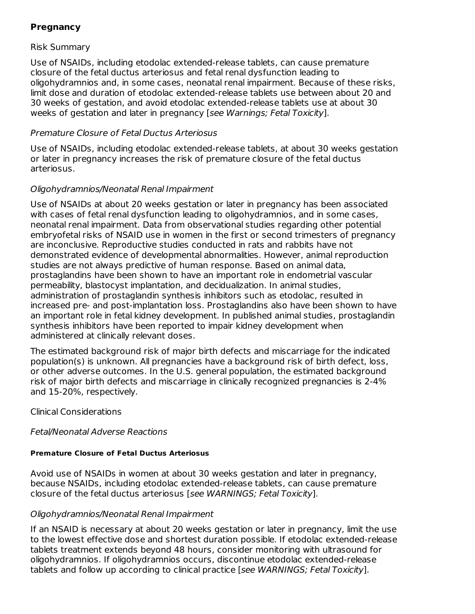# **Pregnancy**

#### Risk Summary

Use of NSAIDs, including etodolac extended-release tablets, can cause premature closure of the fetal ductus arteriosus and fetal renal dysfunction leading to oligohydramnios and, in some cases, neonatal renal impairment. Because of these risks, limit dose and duration of etodolac extended-release tablets use between about 20 and 30 weeks of gestation, and avoid etodolac extended-release tablets use at about 30 weeks of gestation and later in pregnancy [see Warnings; Fetal Toxicity].

#### Premature Closure of Fetal Ductus Arteriosus

Use of NSAIDs, including etodolac extended-release tablets, at about 30 weeks gestation or later in pregnancy increases the risk of premature closure of the fetal ductus arteriosus.

#### Oligohydramnios/Neonatal Renal Impairment

Use of NSAIDs at about 20 weeks gestation or later in pregnancy has been associated with cases of fetal renal dysfunction leading to oligohydramnios, and in some cases, neonatal renal impairment. Data from observational studies regarding other potential embryofetal risks of NSAID use in women in the first or second trimesters of pregnancy are inconclusive. Reproductive studies conducted in rats and rabbits have not demonstrated evidence of developmental abnormalities. However, animal reproduction studies are not always predictive of human response. Based on animal data, prostaglandins have been shown to have an important role in endometrial vascular permeability, blastocyst implantation, and decidualization. In animal studies, administration of prostaglandin synthesis inhibitors such as etodolac, resulted in increased pre- and post-implantation loss. Prostaglandins also have been shown to have an important role in fetal kidney development. In published animal studies, prostaglandin synthesis inhibitors have been reported to impair kidney development when administered at clinically relevant doses.

The estimated background risk of major birth defects and miscarriage for the indicated population(s) is unknown. All pregnancies have a background risk of birth defect, loss, or other adverse outcomes. In the U.S. general population, the estimated background risk of major birth defects and miscarriage in clinically recognized pregnancies is 2-4% and 15-20%, respectively.

Clinical Considerations

Fetal/Neonatal Adverse Reactions

#### **Premature Closure of Fetal Ductus Arteriosus**

Avoid use of NSAIDs in women at about 30 weeks gestation and later in pregnancy, because NSAIDs, including etodolac extended-release tablets, can cause premature closure of the fetal ductus arteriosus [see WARNINGS; Fetal Toxicity].

## Oligohydramnios/Neonatal Renal Impairment

If an NSAID is necessary at about 20 weeks gestation or later in pregnancy, limit the use to the lowest effective dose and shortest duration possible. If etodolac extended-release tablets treatment extends beyond 48 hours, consider monitoring with ultrasound for oligohydramnios. If oligohydramnios occurs, discontinue etodolac extended-release tablets and follow up according to clinical practice [see WARNINGS; Fetal Toxicity].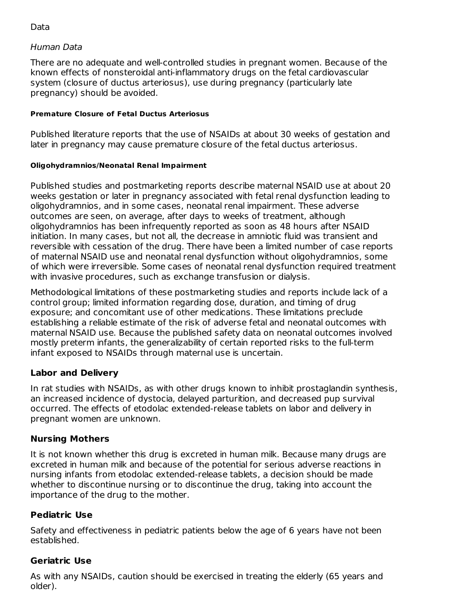## Data

## Human Data

There are no adequate and well-controlled studies in pregnant women. Because of the known effects of nonsteroidal anti-inflammatory drugs on the fetal cardiovascular system (closure of ductus arteriosus), use during pregnancy (particularly late pregnancy) should be avoided.

#### **Premature Closure of Fetal Ductus Arteriosus**

Published literature reports that the use of NSAIDs at about 30 weeks of gestation and later in pregnancy may cause premature closure of the fetal ductus arteriosus.

#### **Oligohydramnios/Neonatal Renal Impairment**

Published studies and postmarketing reports describe maternal NSAID use at about 20 weeks gestation or later in pregnancy associated with fetal renal dysfunction leading to oligohydramnios, and in some cases, neonatal renal impairment. These adverse outcomes are seen, on average, after days to weeks of treatment, although oligohydramnios has been infrequently reported as soon as 48 hours after NSAID initiation. In many cases, but not all, the decrease in amniotic fluid was transient and reversible with cessation of the drug. There have been a limited number of case reports of maternal NSAID use and neonatal renal dysfunction without oligohydramnios, some of which were irreversible. Some cases of neonatal renal dysfunction required treatment with invasive procedures, such as exchange transfusion or dialysis.

Methodological limitations of these postmarketing studies and reports include lack of a control group; limited information regarding dose, duration, and timing of drug exposure; and concomitant use of other medications. These limitations preclude establishing a reliable estimate of the risk of adverse fetal and neonatal outcomes with maternal NSAID use. Because the published safety data on neonatal outcomes involved mostly preterm infants, the generalizability of certain reported risks to the full-term infant exposed to NSAIDs through maternal use is uncertain.

## **Labor and Delivery**

In rat studies with NSAIDs, as with other drugs known to inhibit prostaglandin synthesis, an increased incidence of dystocia, delayed parturition, and decreased pup survival occurred. The effects of etodolac extended-release tablets on labor and delivery in pregnant women are unknown.

## **Nursing Mothers**

It is not known whether this drug is excreted in human milk. Because many drugs are excreted in human milk and because of the potential for serious adverse reactions in nursing infants from etodolac extended-release tablets, a decision should be made whether to discontinue nursing or to discontinue the drug, taking into account the importance of the drug to the mother.

## **Pediatric Use**

Safety and effectiveness in pediatric patients below the age of 6 years have not been established.

## **Geriatric Use**

As with any NSAIDs, caution should be exercised in treating the elderly (65 years and older).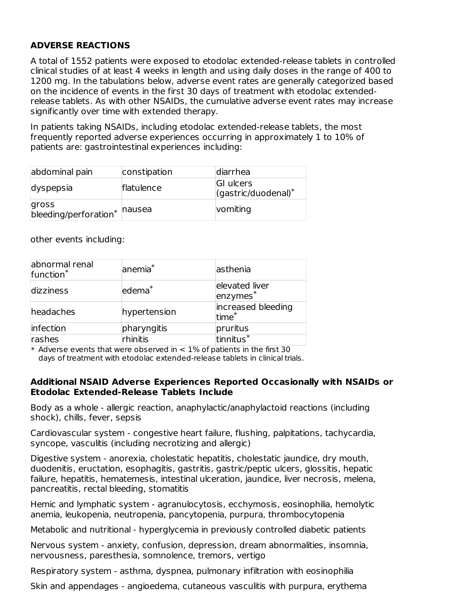## **ADVERSE REACTIONS**

A total of 1552 patients were exposed to etodolac extended-release tablets in controlled clinical studies of at least 4 weeks in length and using daily doses in the range of 400 to 1200 mg. In the tabulations below, adverse event rates are generally categorized based on the incidence of events in the first 30 days of treatment with etodolac extendedrelease tablets. As with other NSAIDs, the cumulative adverse event rates may increase significantly over time with extended therapy.

In patients taking NSAIDs, including etodolac extended-release tablets, the most frequently reported adverse experiences occurring in approximately 1 to 10% of patients are: gastrointestinal experiences including:

| abdominal pain                        | constipation | diarrhea                         |
|---------------------------------------|--------------|----------------------------------|
| dyspepsia                             | flatulence   | GI ulcers<br>(gastric/duodenal)* |
| <b>gross</b><br>bleeding/perforation* | lnausea      | vomiting                         |

other events including:

| abnormal renal<br>function <sup>*</sup> | anemia <sup>*</sup> | asthenia                                |
|-----------------------------------------|---------------------|-----------------------------------------|
| dizziness                               | edema <sup>*</sup>  | elevated liver<br>enzymes*              |
| headaches                               | hypertension        | increased bleeding<br>time <sup>*</sup> |
| infection                               | pharyngitis         | pruritus                                |
| rashes                                  | rhinitis            | tinnitus <sup>*</sup>                   |
|                                         | . .                 |                                         |

 $\ast$  Adverse events that were observed in  $< 1\%$  of patients in the first 30 days of treatment with etodolac extended-release tablets in clinical trials.

#### **Additional NSAID Adverse Experiences Reported Occasionally with NSAIDs or Etodolac Extended-Release Tablets Include**

Body as a whole - allergic reaction, anaphylactic/anaphylactoid reactions (including shock), chills, fever, sepsis

Cardiovascular system - congestive heart failure, flushing, palpitations, tachycardia, syncope, vasculitis (including necrotizing and allergic)

Digestive system - anorexia, cholestatic hepatitis, cholestatic jaundice, dry mouth, duodenitis, eructation, esophagitis, gastritis, gastric/peptic ulcers, glossitis, hepatic failure, hepatitis, hematemesis, intestinal ulceration, jaundice, liver necrosis, melena, pancreatitis, rectal bleeding, stomatitis

Hemic and lymphatic system - agranulocytosis, ecchymosis, eosinophilia, hemolytic anemia, leukopenia, neutropenia, pancytopenia, purpura, thrombocytopenia

Metabolic and nutritional - hyperglycemia in previously controlled diabetic patients

Nervous system - anxiety, confusion, depression, dream abnormalities, insomnia, nervousness, paresthesia, somnolence, tremors, vertigo

Respiratory system - asthma, dyspnea, pulmonary infiltration with eosinophilia

Skin and appendages - angioedema, cutaneous vasculitis with purpura, erythema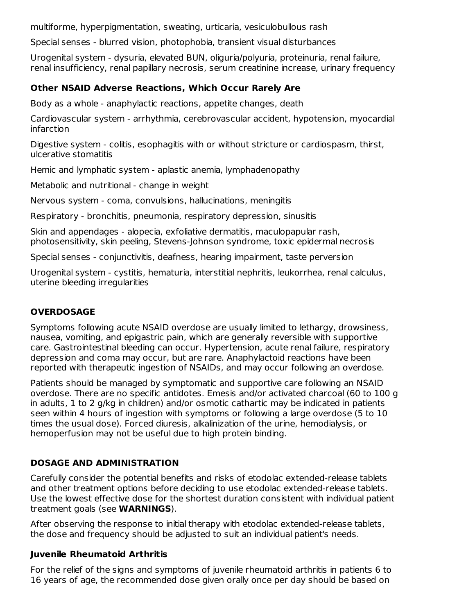multiforme, hyperpigmentation, sweating, urticaria, vesiculobullous rash

Special senses - blurred vision, photophobia, transient visual disturbances

Urogenital system - dysuria, elevated BUN, oliguria/polyuria, proteinuria, renal failure, renal insufficiency, renal papillary necrosis, serum creatinine increase, urinary frequency

### **Other NSAID Adverse Reactions, Which Occur Rarely Are**

Body as a whole - anaphylactic reactions, appetite changes, death

Cardiovascular system - arrhythmia, cerebrovascular accident, hypotension, myocardial infarction

Digestive system - colitis, esophagitis with or without stricture or cardiospasm, thirst, ulcerative stomatitis

Hemic and lymphatic system - aplastic anemia, lymphadenopathy

Metabolic and nutritional - change in weight

Nervous system - coma, convulsions, hallucinations, meningitis

Respiratory - bronchitis, pneumonia, respiratory depression, sinusitis

Skin and appendages - alopecia, exfoliative dermatitis, maculopapular rash, photosensitivity, skin peeling, Stevens-Johnson syndrome, toxic epidermal necrosis

Special senses - conjunctivitis, deafness, hearing impairment, taste perversion

Urogenital system - cystitis, hematuria, interstitial nephritis, leukorrhea, renal calculus, uterine bleeding irregularities

## **OVERDOSAGE**

Symptoms following acute NSAID overdose are usually limited to lethargy, drowsiness, nausea, vomiting, and epigastric pain, which are generally reversible with supportive care. Gastrointestinal bleeding can occur. Hypertension, acute renal failure, respiratory depression and coma may occur, but are rare. Anaphylactoid reactions have been reported with therapeutic ingestion of NSAIDs, and may occur following an overdose.

Patients should be managed by symptomatic and supportive care following an NSAID overdose. There are no specific antidotes. Emesis and/or activated charcoal (60 to 100 g in adults, 1 to 2 g/kg in children) and/or osmotic cathartic may be indicated in patients seen within 4 hours of ingestion with symptoms or following a large overdose (5 to 10 times the usual dose). Forced diuresis, alkalinization of the urine, hemodialysis, or hemoperfusion may not be useful due to high protein binding.

## **DOSAGE AND ADMINISTRATION**

Carefully consider the potential benefits and risks of etodolac extended-release tablets and other treatment options before deciding to use etodolac extended-release tablets. Use the lowest effective dose for the shortest duration consistent with individual patient treatment goals (see **WARNINGS**).

After observing the response to initial therapy with etodolac extended-release tablets, the dose and frequency should be adjusted to suit an individual patient's needs.

## **Juvenile Rheumatoid Arthritis**

For the relief of the signs and symptoms of juvenile rheumatoid arthritis in patients 6 to 16 years of age, the recommended dose given orally once per day should be based on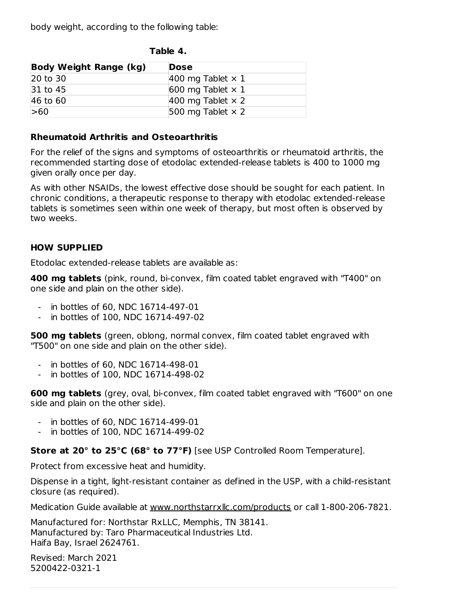body weight, according to the following table:

| <b>Body Weight Range (kg)</b> | Dose                     |
|-------------------------------|--------------------------|
| 20 to 30                      | 400 mg Tablet $\times$ 1 |
| $ 31$ to 45                   | 600 mg Tablet $\times$ 1 |
| $ 46 \text{ to } 60$          | 400 mg Tablet $\times$ 2 |
| >60                           | 500 mg Tablet $\times$ 2 |

#### **Table 4.**

#### **Rheumatoid Arthritis and Osteoarthritis**

For the relief of the signs and symptoms of osteoarthritis or rheumatoid arthritis, the recommended starting dose of etodolac extended-release tablets is 400 to 1000 mg given orally once per day.

As with other NSAIDs, the lowest effective dose should be sought for each patient. In chronic conditions, a therapeutic response to therapy with etodolac extended-release tablets is sometimes seen within one week of therapy, but most often is observed by two weeks.

#### **HOW SUPPLIED**

Etodolac extended-release tablets are available as:

**400 mg tablets** (pink, round, bi-convex, film coated tablet engraved with "T400" on one side and plain on the other side).

- in bottles of 60, NDC 16714-497-01
- in bottles of 100, NDC 16714-497-02

**500 mg tablets** (green, oblong, normal convex, film coated tablet engraved with "T500" on one side and plain on the other side).

- in bottles of 60, NDC 16714-498-01
- in bottles of 100, NDC 16714-498-02

**600 mg tablets** (grey, oval, bi-convex, film coated tablet engraved with "T600" on one side and plain on the other side).

- in bottles of 60, NDC 16714-499-01
- in bottles of 100, NDC 16714-499-02

**Store at 20° to 25°C (68° to 77°F)** [see USP Controlled Room Temperature].

Protect from excessive heat and humidity.

Dispense in a tight, light-resistant container as defined in the USP, with a child-resistant closure (as required).

Medication Guide available at www.northstarrxllc.com/products or call 1-800-206-7821.

Manufactured for: Northstar RxLLC, Memphis, TN 38141. Manufactured by: Taro Pharmaceutical Industries Ltd. Haifa Bay, Israel 2624761.

Revised: March 2021 5200422-0321-1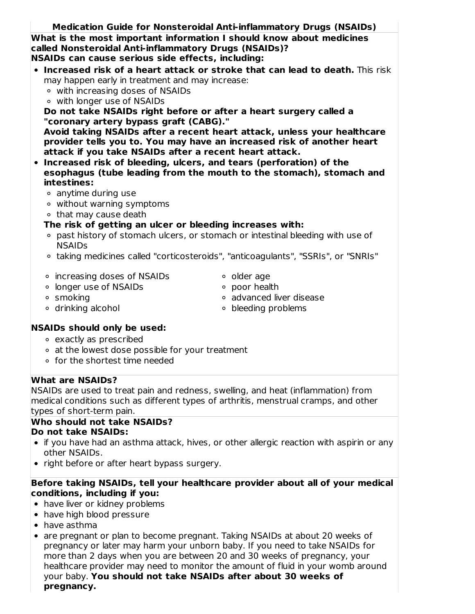|                                                                                      | Medication Guide for Nonsteroidal Anti-inflammatory Drugs (NSAIDs)                 |
|--------------------------------------------------------------------------------------|------------------------------------------------------------------------------------|
| What is the most important information I should know about medicines                 |                                                                                    |
| called Nonsteroidal Anti-inflammatory Drugs (NSAIDs)?                                |                                                                                    |
| NSAIDs can cause serious side effects, including:                                    |                                                                                    |
|                                                                                      | • Increased risk of a heart attack or stroke that can lead to death. This risk     |
| may happen early in treatment and may increase:                                      |                                                                                    |
| ○ with increasing doses of NSAIDs                                                    |                                                                                    |
| ○ with longer use of NSAIDs                                                          |                                                                                    |
| Do not take NSAIDs right before or after a heart surgery called a                    |                                                                                    |
| "coronary artery bypass graft (CABG)."                                               |                                                                                    |
|                                                                                      | Avoid taking NSAIDs after a recent heart attack, unless your healthcare            |
| provider tells you to. You may have an increased risk of another heart               |                                                                                    |
| attack if you take NSAIDs after a recent heart attack.                               |                                                                                    |
| Increased risk of bleeding, ulcers, and tears (perforation) of the                   |                                                                                    |
|                                                                                      | esophagus (tube leading from the mouth to the stomach), stomach and                |
| intestines:                                                                          |                                                                                    |
| • anytime during use                                                                 |                                                                                    |
| ○ without warning symptoms                                                           |                                                                                    |
| • that may cause death                                                               |                                                                                    |
| The risk of getting an ulcer or bleeding increases with:                             |                                                                                    |
| ○ past history of stomach ulcers, or stomach or intestinal bleeding with use of      |                                                                                    |
| <b>NSAIDs</b>                                                                        |                                                                                    |
|                                                                                      | ○ taking medicines called "corticosteroids", "anticoagulants", "SSRIs", or "SNRIs" |
|                                                                                      |                                                                                    |
| • increasing doses of NSAIDs                                                         | • older age                                                                        |
| ○ longer use of NSAIDs                                                               | ∘ poor health                                                                      |
| ∘ smoking                                                                            | ∘ advanced liver disease                                                           |
| ∘ drinking alcohol                                                                   | • bleeding problems                                                                |
|                                                                                      |                                                                                    |
| <b>NSAIDs should only be used:</b>                                                   |                                                                                    |
| • exactly as prescribed                                                              |                                                                                    |
| • at the lowest dose possible for your treatment                                     |                                                                                    |
| ○ for the shortest time needed                                                       |                                                                                    |
|                                                                                      |                                                                                    |
| <b>What are NSAIDs?</b>                                                              |                                                                                    |
| NSAIDs are used to treat pain and redness, swelling, and heat (inflammation) from    |                                                                                    |
| medical conditions such as different types of arthritis, menstrual cramps, and other |                                                                                    |
| types of short-term pain.                                                            |                                                                                    |
| Who should not take NSAIDs?                                                          |                                                                                    |
| Do not take NSAIDs:                                                                  |                                                                                    |

- if you have had an asthma attack, hives, or other allergic reaction with aspirin or any other NSAIDs.
- right before or after heart bypass surgery.

## **Before taking NSAIDs, tell your healthcare provider about all of your medical conditions, including if you:**

- have liver or kidney problems
- have high blood pressure
- have asthma

 $\mathbf{I}$ 

are pregnant or plan to become pregnant. Taking NSAIDs at about 20 weeks of pregnancy or later may harm your unborn baby. If you need to take NSAIDs for more than 2 days when you are between 20 and 30 weeks of pregnancy, your healthcare provider may need to monitor the amount of fluid in your womb around your baby. **You should not take NSAIDs after about 30 weeks of pregnancy.**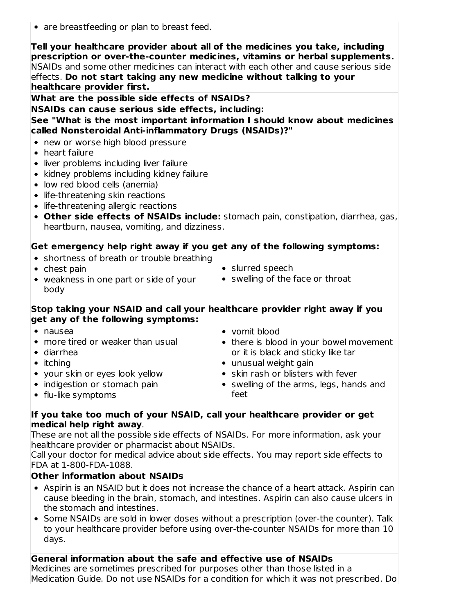• are breastfeeding or plan to breast feed.

**Tell your healthcare provider about all of the medicines you take, including prescription or over-the-counter medicines, vitamins or herbal supplements.** NSAIDs and some other medicines can interact with each other and cause serious side effects. **Do not start taking any new medicine without talking to your healthcare provider first.**

**What are the possible side effects of NSAIDs?**

**NSAIDs can cause serious side effects, including:**

**See "What is the most important information I should know about medicines called Nonsteroidal Anti-inflammatory Drugs (NSAIDs)?"**

- new or worse high blood pressure
- heart failure
- liver problems including liver failure
- kidney problems including kidney failure
- low red blood cells (anemia)
- life-threatening skin reactions
- life-threatening allergic reactions
- **Other side effects of NSAIDs include:** stomach pain, constipation, diarrhea, gas, heartburn, nausea, vomiting, and dizziness.

# **Get emergency help right away if you get any of the following symptoms:**

- shortness of breath or trouble breathing
- $\bullet$  chest pain
- slurred speech
- weakness in one part or side of your body
- swelling of the face or throat

## **Stop taking your NSAID and call your healthcare provider right away if you get any of the following symptoms:**

- nausea
- more tired or weaker than usual
- diarrhea
- $\bullet$  itching
- your skin or eyes look yellow
- indigestion or stomach pain
- flu-like symptoms
- vomit blood
- there is blood in your bowel movement or it is black and sticky like tar
- unusual weight gain
- skin rash or blisters with fever
- swelling of the arms, legs, hands and feet

## **If you take too much of your NSAID, call your healthcare provider or get medical help right away**.

These are not all the possible side effects of NSAIDs. For more information, ask your healthcare provider or pharmacist about NSAIDs.

Call your doctor for medical advice about side effects. You may report side effects to FDA at 1-800-FDA-1088.

# **Other information about NSAIDs**

- Aspirin is an NSAID but it does not increase the chance of a heart attack. Aspirin can cause bleeding in the brain, stomach, and intestines. Aspirin can also cause ulcers in the stomach and intestines.
- Some NSAIDs are sold in lower doses without a prescription (over-the counter). Talk to your healthcare provider before using over-the-counter NSAIDs for more than 10 days.

# **General information about the safe and effective use of NSAIDs**

Medicines are sometimes prescribed for purposes other than those listed in a Medication Guide. Do not use NSAIDs for a condition for which it was not prescribed. Do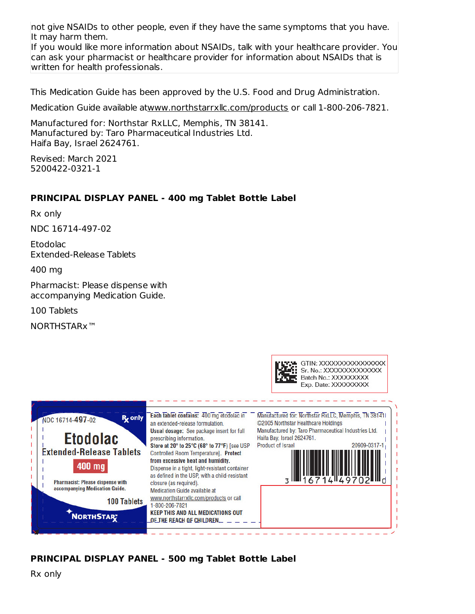not give NSAIDs to other people, even if they have the same symptoms that you have. It may harm them.

If you would like more information about NSAIDs, talk with your healthcare provider. You can ask your pharmacist or healthcare provider for information about NSAIDs that is written for health professionals.

This Medication Guide has been approved by the U.S. Food and Drug Administration.

Medication Guide available atwww.northstarrxllc.com/products or call 1-800-206-7821.

Manufactured for: Northstar RxLLC, Memphis, TN 38141. Manufactured by: Taro Pharmaceutical Industries Ltd. Haifa Bay, Israel 2624761.

Revised: March 2021 5200422-0321-1

## **PRINCIPAL DISPLAY PANEL - 400 mg Tablet Bottle Label**

Rx only

NDC 16714-497-02

Etodolac Extended-Release Tablets

400 mg

Pharmacist: Please dispense with accompanying Medication Guide.

100 Tablets

NORTHSTARx™



# **PRINCIPAL DISPLAY PANEL - 500 mg Tablet Bottle Label**

Rx only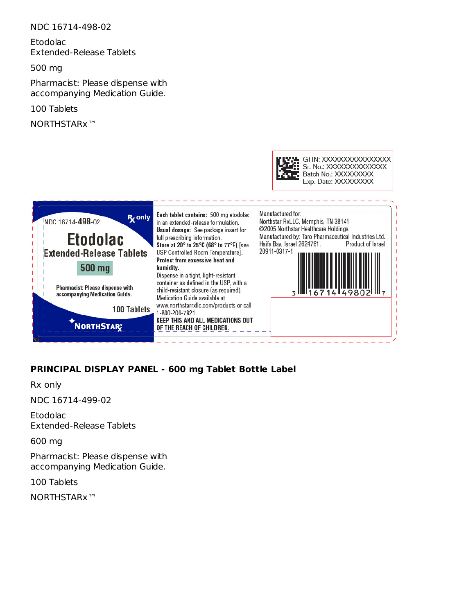NDC 16714-498-02

**Etodolac** Extended-Release Tablets

500 mg

Pharmacist: Please dispense with accompanying Medication Guide.

100 Tablets

NORTHSTARx™



# **PRINCIPAL DISPLAY PANEL - 600 mg Tablet Bottle Label**

Rx only

NDC 16714-499-02

Etodolac Extended-Release Tablets

600 mg

Pharmacist: Please dispense with accompanying Medication Guide.

100 Tablets

NORTHSTARx™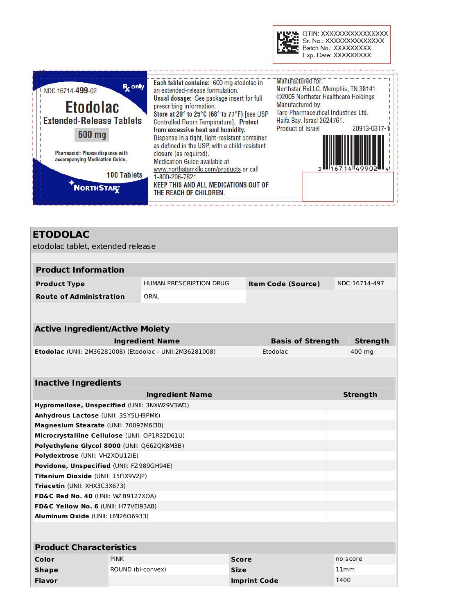

GTIN: XXXXXXXXXXXXXXX<br>Sr. No.: XXXXXXXXXXXXXX Batch No.: XXXXXXXXX<br>Exp. Date: XXXXXXXXX



etodolac tablet, extended release

| <b>Product Information</b>     |                         |                           |               |  |  |
|--------------------------------|-------------------------|---------------------------|---------------|--|--|
| <b>Product Type</b>            | HUMAN PRESCRIPTION DRUG | <b>Item Code (Source)</b> | NDC:16714-497 |  |  |
| <b>Route of Administration</b> | ORAL                    |                           |               |  |  |
|                                |                         |                           |               |  |  |

| <b>Active Ingredient/Active Moiety</b>                          |                          |          |  |  |  |
|-----------------------------------------------------------------|--------------------------|----------|--|--|--|
| <b>Ingredient Name</b>                                          | <b>Basis of Strength</b> | Strenath |  |  |  |
| <b>Etodolac</b> (UNII: 2M36281008) (Etodolac - UNII:2M36281008) | Etodolac                 | 400 mg   |  |  |  |

| <b>Inactive Ingredients</b>                     |          |  |  |  |
|-------------------------------------------------|----------|--|--|--|
| Ingredient Name                                 | Strength |  |  |  |
| Hypromellose, Unspecified (UNII: 3NXW29V3WO)    |          |  |  |  |
| Anhydrous Lactose (UNII: 3SY5LH9PMK)            |          |  |  |  |
| Magnesium Stearate (UNII: 70097M6I30)           |          |  |  |  |
| Microcrystalline Cellulose (UNII: OP1R32D61U)   |          |  |  |  |
| Polyethylene Glycol 8000 (UNII: Q662QK8M3B)     |          |  |  |  |
| Polydextrose (UNII: VH2XOU12IE)                 |          |  |  |  |
| Povidone, Unspecified (UNII: FZ989GH94E)        |          |  |  |  |
| Titanium Dioxide (UNII: 15FIX9V2JP)             |          |  |  |  |
| Triacetin (UNII: XHX3C3X673)                    |          |  |  |  |
| FD&C Red No. 40 (UNII: WZB9127XOA)              |          |  |  |  |
| <b>FD&amp;C Yellow No. 6 (UNII: H77VEI93A8)</b> |          |  |  |  |
| Aluminum Oxide (UNII: LMI2606933)               |          |  |  |  |
|                                                 |          |  |  |  |
| <b>Product Characteristics</b>                  |          |  |  |  |

| Color         | <b>PINK</b>       | <b>Score</b>        | no score |  |  |  |
|---------------|-------------------|---------------------|----------|--|--|--|
| <b>Shape</b>  | ROUND (bi-convex) | <b>Size</b>         | 11mm     |  |  |  |
| <b>Flavor</b> |                   | <b>Imprint Code</b> | T400     |  |  |  |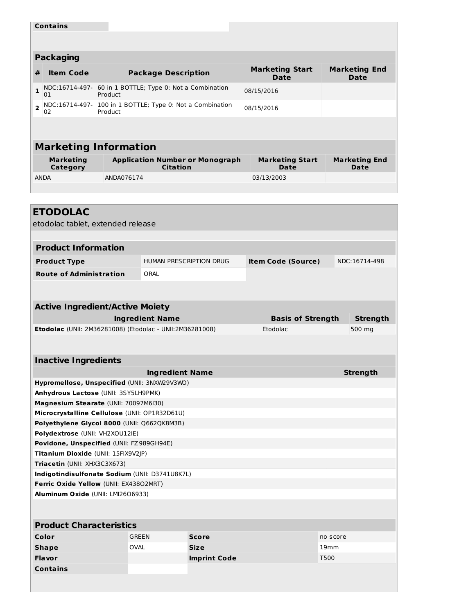|                | <b>Contains</b>              |                                                                     |                                       |                                     |  |  |  |
|----------------|------------------------------|---------------------------------------------------------------------|---------------------------------------|-------------------------------------|--|--|--|
|                |                              |                                                                     |                                       |                                     |  |  |  |
|                | <b>Packaging</b>             |                                                                     |                                       |                                     |  |  |  |
| #              | <b>Item Code</b>             | <b>Package Description</b>                                          | <b>Marketing Start</b><br><b>Date</b> | <b>Marketing End</b><br><b>Date</b> |  |  |  |
| $\mathbf{1}$   | 01                           | NDC:16714-497- 60 in 1 BOTTLE; Type 0: Not a Combination<br>Product | 08/15/2016                            |                                     |  |  |  |
| $\overline{2}$ | NDC:16714-497-<br>02         | 100 in 1 BOTTLE; Type 0: Not a Combination<br>Product               | 08/15/2016                            |                                     |  |  |  |
|                |                              |                                                                     |                                       |                                     |  |  |  |
|                | <b>Marketing Information</b> |                                                                     |                                       |                                     |  |  |  |
|                | <b>Marketing</b><br>Category | <b>Application Number or Monograph</b><br><b>Citation</b>           | <b>Marketing Start</b><br>Date        | <b>Marketing End</b><br>Date        |  |  |  |
|                | <b>ANDA</b>                  | ANDA076174                                                          | 03/13/2003                            |                                     |  |  |  |
|                |                              |                                                                     |                                       |                                     |  |  |  |

| <b>ETODOLAC</b>                                                 |                                   |                         |  |                           |                  |                 |
|-----------------------------------------------------------------|-----------------------------------|-------------------------|--|---------------------------|------------------|-----------------|
| etodolac tablet, extended release                               |                                   |                         |  |                           |                  |                 |
|                                                                 |                                   |                         |  |                           |                  |                 |
| <b>Product Information</b>                                      |                                   |                         |  |                           |                  |                 |
| <b>Product Type</b>                                             |                                   | HUMAN PRESCRIPTION DRUG |  | <b>Item Code (Source)</b> |                  | NDC:16714-498   |
| <b>Route of Administration</b>                                  | ORAL                              |                         |  |                           |                  |                 |
|                                                                 |                                   |                         |  |                           |                  |                 |
|                                                                 |                                   |                         |  |                           |                  |                 |
| <b>Active Ingredient/Active Moiety</b>                          |                                   |                         |  |                           |                  |                 |
|                                                                 | <b>Ingredient Name</b>            |                         |  | <b>Basis of Strength</b>  |                  | <b>Strength</b> |
| <b>Etodolac</b> (UNII: 2M36281008) (Etodolac - UNII:2M36281008) |                                   |                         |  | Etodolac                  |                  | 500 mg          |
|                                                                 |                                   |                         |  |                           |                  |                 |
|                                                                 |                                   |                         |  |                           |                  |                 |
| <b>Inactive Ingredients</b>                                     |                                   |                         |  |                           |                  |                 |
|                                                                 | <b>Ingredient Name</b>            |                         |  |                           |                  | <b>Strength</b> |
| Hypromellose, Unspecified (UNII: 3NXW29V3WO)                    |                                   |                         |  |                           |                  |                 |
| Anhydrous Lactose (UNII: 3SY5LH9PMK)                            |                                   |                         |  |                           |                  |                 |
| Magnesium Stearate (UNII: 70097M6I30)                           |                                   |                         |  |                           |                  |                 |
| Microcrystalline Cellulose (UNII: OP1R32D61U)                   |                                   |                         |  |                           |                  |                 |
| Polyethylene Glycol 8000 (UNII: Q662QK8M3B)                     |                                   |                         |  |                           |                  |                 |
| Polydextrose (UNII: VH2XOU12IE)                                 |                                   |                         |  |                           |                  |                 |
| Povidone, Unspecified (UNII: FZ989GH94E)                        |                                   |                         |  |                           |                  |                 |
| Titanium Dioxide (UNII: 15FIX9V2JP)                             |                                   |                         |  |                           |                  |                 |
| Triacetin (UNII: XHX3C3X673)                                    |                                   |                         |  |                           |                  |                 |
| Indigotindisulfonate Sodium (UNII: D3741U8K7L)                  |                                   |                         |  |                           |                  |                 |
| Ferric Oxide Yellow (UNII: EX43802MRT)                          |                                   |                         |  |                           |                  |                 |
|                                                                 | Aluminum Oxide (UNII: LMI2606933) |                         |  |                           |                  |                 |
|                                                                 |                                   |                         |  |                           |                  |                 |
| <b>Product Characteristics</b>                                  |                                   |                         |  |                           |                  |                 |
| Color                                                           | <b>GREEN</b>                      | <b>Score</b>            |  |                           | no score         |                 |
| <b>Shape</b>                                                    | <b>OVAL</b>                       | <b>Size</b>             |  |                           | 19 <sub>mm</sub> |                 |
| Flavor                                                          |                                   | <b>Imprint Code</b>     |  |                           | T500             |                 |
| <b>Contains</b>                                                 |                                   |                         |  |                           |                  |                 |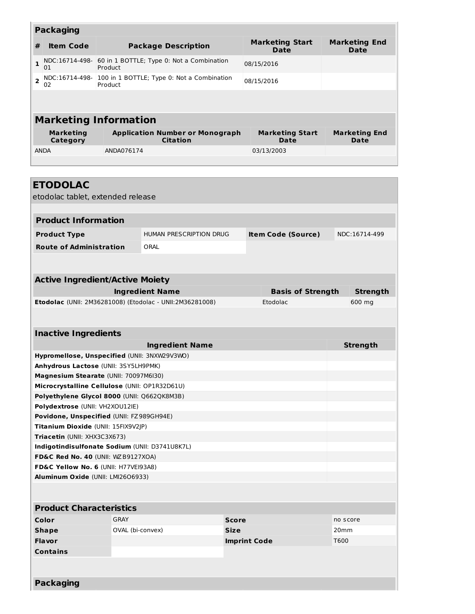| <b>Packaging</b> |                                                                                                                                                             |                                                                      |                                       |                                     |  |  |  |
|------------------|-------------------------------------------------------------------------------------------------------------------------------------------------------------|----------------------------------------------------------------------|---------------------------------------|-------------------------------------|--|--|--|
| #                | <b>Item Code</b>                                                                                                                                            | <b>Package Description</b>                                           | <b>Marketing Start</b><br><b>Date</b> | <b>Marketing End</b><br><b>Date</b> |  |  |  |
| $\mathbf{1}$     | 01                                                                                                                                                          | NDC:16714-498- 60 in 1 BOTTLE; Type 0: Not a Combination<br>Product  | 08/15/2016                            |                                     |  |  |  |
| $\overline{2}$   | 02                                                                                                                                                          | NDC:16714-498- 100 in 1 BOTTLE; Type 0: Not a Combination<br>Product | 08/15/2016                            |                                     |  |  |  |
|                  |                                                                                                                                                             |                                                                      |                                       |                                     |  |  |  |
|                  |                                                                                                                                                             | <b>Marketing Information</b>                                         |                                       |                                     |  |  |  |
|                  | <b>Marketing</b><br><b>Application Number or Monograph</b><br><b>Marketing End</b><br><b>Marketing Start</b><br><b>Citation</b><br>Category<br>Date<br>Date |                                                                      |                                       |                                     |  |  |  |
|                  | <b>ANDA</b>                                                                                                                                                 | ANDA076174                                                           | 03/13/2003                            |                                     |  |  |  |
|                  |                                                                                                                                                             |                                                                      |                                       |                                     |  |  |  |
|                  |                                                                                                                                                             |                                                                      |                                       |                                     |  |  |  |
| <b>ETODOLAC</b>  |                                                                                                                                                             |                                                                      |                                       |                                     |  |  |  |
|                  | etodolac tablet, extended release                                                                                                                           |                                                                      |                                       |                                     |  |  |  |

| <b>Product Information</b>                               |                                          |                         |                     |                           |                  |                 |
|----------------------------------------------------------|------------------------------------------|-------------------------|---------------------|---------------------------|------------------|-----------------|
| <b>Product Type</b>                                      |                                          | HUMAN PRESCRIPTION DRUG |                     | <b>Item Code (Source)</b> |                  | NDC:16714-499   |
| <b>Route of Administration</b>                           |                                          | ORAL                    |                     |                           |                  |                 |
|                                                          |                                          |                         |                     |                           |                  |                 |
|                                                          |                                          |                         |                     |                           |                  |                 |
| <b>Active Ingredient/Active Moiety</b>                   |                                          |                         |                     |                           |                  |                 |
|                                                          |                                          | <b>Ingredient Name</b>  |                     | <b>Basis of Strength</b>  |                  | <b>Strength</b> |
| Etodolac (UNII: 2M36281008) (Etodolac - UNII:2M36281008) |                                          |                         |                     | Etodolac                  |                  | 600 mg          |
|                                                          |                                          |                         |                     |                           |                  |                 |
| <b>Inactive Ingredients</b>                              |                                          |                         |                     |                           |                  |                 |
|                                                          |                                          | <b>Ingredient Name</b>  |                     |                           |                  | <b>Strength</b> |
| Hypromellose, Unspecified (UNII: 3NXW29V3WO)             |                                          |                         |                     |                           |                  |                 |
| Anhydrous Lactose (UNII: 3SY5LH9PMK)                     |                                          |                         |                     |                           |                  |                 |
| Magnesium Stearate (UNII: 70097M6I30)                    |                                          |                         |                     |                           |                  |                 |
| Microcrystalline Cellulose (UNII: OP1R32D61U)            |                                          |                         |                     |                           |                  |                 |
| Polyethylene Glycol 8000 (UNII: Q662QK8M3B)              |                                          |                         |                     |                           |                  |                 |
| Polydextrose (UNII: VH2XOU12IE)                          |                                          |                         |                     |                           |                  |                 |
| Povidone, Unspecified (UNII: FZ989GH94E)                 |                                          |                         |                     |                           |                  |                 |
| Titanium Dioxide (UNII: 15FIX9V2JP)                      |                                          |                         |                     |                           |                  |                 |
| Triacetin (UNII: XHX3C3X673)                             |                                          |                         |                     |                           |                  |                 |
| Indigotindisulfonate Sodium (UNII: D3741U8K7L)           |                                          |                         |                     |                           |                  |                 |
| FD&C Red No. 40 (UNII: WZB9127XOA)                       |                                          |                         |                     |                           |                  |                 |
| FD&C Yellow No. 6 (UNII: H77VEI93A8)                     |                                          |                         |                     |                           |                  |                 |
|                                                          | <b>Aluminum Oxide (UNII: LMI2606933)</b> |                         |                     |                           |                  |                 |
|                                                          |                                          |                         |                     |                           |                  |                 |
|                                                          |                                          |                         |                     |                           |                  |                 |
| <b>Product Characteristics</b>                           |                                          |                         |                     |                           |                  |                 |
| Color                                                    | GRAY                                     |                         | <b>Score</b>        |                           |                  | no score        |
| <b>Shape</b>                                             | OVAL (bi-convex)                         |                         | <b>Size</b>         |                           | 20 <sub>mm</sub> |                 |
| Flavor                                                   |                                          |                         | <b>Imprint Code</b> |                           | T600             |                 |
| <b>Contains</b>                                          |                                          |                         |                     |                           |                  |                 |
|                                                          |                                          |                         |                     |                           |                  |                 |

**Packaging**